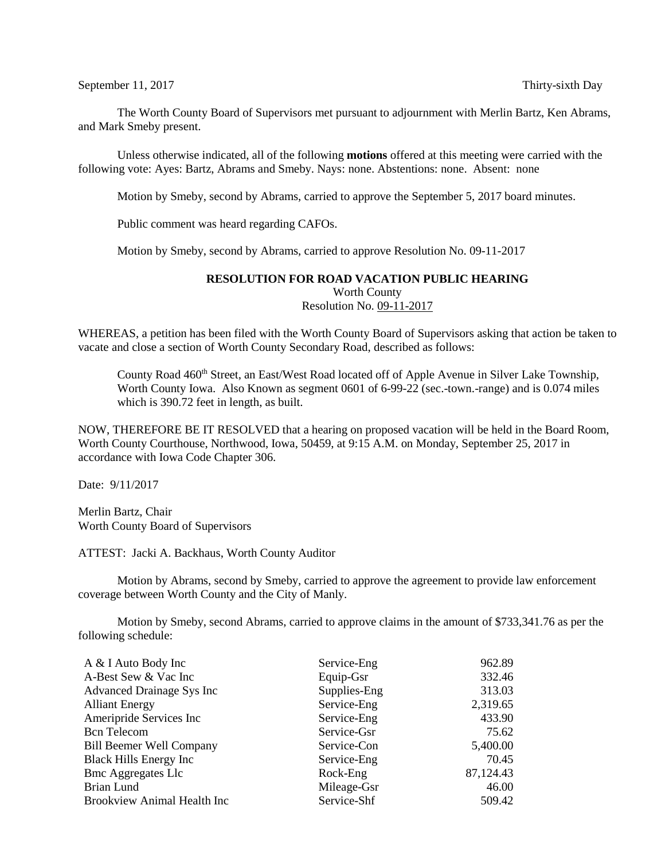## September 11, 2017 Thirty-sixth Day

The Worth County Board of Supervisors met pursuant to adjournment with Merlin Bartz, Ken Abrams, and Mark Smeby present.

Unless otherwise indicated, all of the following **motions** offered at this meeting were carried with the following vote: Ayes: Bartz, Abrams and Smeby. Nays: none. Abstentions: none. Absent: none

Motion by Smeby, second by Abrams, carried to approve the September 5, 2017 board minutes.

Public comment was heard regarding CAFOs.

Motion by Smeby, second by Abrams, carried to approve Resolution No. 09-11-2017

## **RESOLUTION FOR ROAD VACATION PUBLIC HEARING**

Worth County Resolution No. 09-11-2017

WHEREAS, a petition has been filed with the Worth County Board of Supervisors asking that action be taken to vacate and close a section of Worth County Secondary Road, described as follows:

County Road 460<sup>th</sup> Street, an East/West Road located off of Apple Avenue in Silver Lake Township, Worth County Iowa. Also Known as segment 0601 of 6-99-22 (sec.-town.-range) and is 0.074 miles which is 390.72 feet in length, as built.

NOW, THEREFORE BE IT RESOLVED that a hearing on proposed vacation will be held in the Board Room, Worth County Courthouse, Northwood, Iowa, 50459, at 9:15 A.M. on Monday, September 25, 2017 in accordance with Iowa Code Chapter 306.

Date: 9/11/2017

Merlin Bartz, Chair Worth County Board of Supervisors

ATTEST: Jacki A. Backhaus, Worth County Auditor

Motion by Abrams, second by Smeby, carried to approve the agreement to provide law enforcement coverage between Worth County and the City of Manly.

Motion by Smeby, second Abrams, carried to approve claims in the amount of \$733,341.76 as per the following schedule:

| A & I Auto Body Inc                | Service-Eng  | 962.89    |
|------------------------------------|--------------|-----------|
| A-Best Sew & Vac Inc               | Equip-Gsr    | 332.46    |
| Advanced Drainage Sys Inc          | Supplies-Eng | 313.03    |
| <b>Alliant Energy</b>              | Service-Eng  | 2,319.65  |
| Ameripride Services Inc            | Service-Eng  | 433.90    |
| <b>Bcn</b> Telecom                 | Service-Gsr  | 75.62     |
| <b>Bill Beemer Well Company</b>    | Service-Con  | 5,400.00  |
| <b>Black Hills Energy Inc.</b>     | Service-Eng  | 70.45     |
| <b>Bmc Aggregates Llc</b>          | Rock-Eng     | 87,124.43 |
| Brian Lund                         | Mileage-Gsr  | 46.00     |
| <b>Brookview Animal Health Inc</b> | Service-Shf  | 509.42    |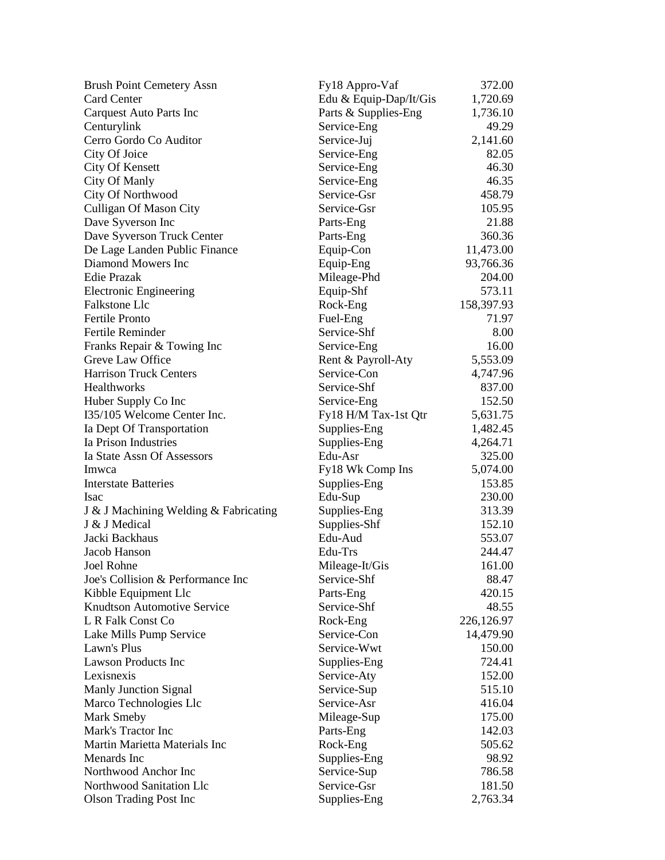| <b>Brush Point Cemetery Assn</b>      | Fy18 Appro-Vaf         | 372.00     |
|---------------------------------------|------------------------|------------|
| <b>Card Center</b>                    | Edu & Equip-Dap/It/Gis | 1,720.69   |
| Carquest Auto Parts Inc               | Parts & Supplies-Eng   | 1,736.10   |
| Centurylink                           | Service-Eng            | 49.29      |
| Cerro Gordo Co Auditor                | Service-Juj            | 2,141.60   |
| City Of Joice                         | Service-Eng            | 82.05      |
| City Of Kensett                       | Service-Eng            | 46.30      |
| <b>City Of Manly</b>                  | Service-Eng            | 46.35      |
| City Of Northwood                     | Service-Gsr            | 458.79     |
| <b>Culligan Of Mason City</b>         | Service-Gsr            | 105.95     |
| Dave Syverson Inc                     | Parts-Eng              | 21.88      |
| Dave Syverson Truck Center            | Parts-Eng              | 360.36     |
| De Lage Landen Public Finance         | Equip-Con              | 11,473.00  |
| Diamond Mowers Inc                    | Equip-Eng              | 93,766.36  |
| Edie Prazak                           | Mileage-Phd            | 204.00     |
| <b>Electronic Engineering</b>         | Equip-Shf              | 573.11     |
| Falkstone Llc                         | Rock-Eng               | 158,397.93 |
| <b>Fertile Pronto</b>                 | Fuel-Eng               | 71.97      |
| Fertile Reminder                      | Service-Shf            | 8.00       |
| Franks Repair & Towing Inc            | Service-Eng            | 16.00      |
| Greve Law Office                      | Rent & Payroll-Aty     | 5,553.09   |
| <b>Harrison Truck Centers</b>         | Service-Con            | 4,747.96   |
| Healthworks                           | Service-Shf            | 837.00     |
| Huber Supply Co Inc                   | Service-Eng            | 152.50     |
| I35/105 Welcome Center Inc.           | Fy18 H/M Tax-1st Qtr   | 5,631.75   |
| Ia Dept Of Transportation             | Supplies-Eng           | 1,482.45   |
| Ia Prison Industries                  | Supplies-Eng           | 4,264.71   |
| Ia State Assn Of Assessors            | Edu-Asr                | 325.00     |
| Imwca                                 | Fy18 Wk Comp Ins       | 5,074.00   |
| <b>Interstate Batteries</b>           | Supplies-Eng           | 153.85     |
| <b>Isac</b>                           | Edu-Sup                | 230.00     |
| J & J Machining Welding & Fabricating | Supplies-Eng           | 313.39     |
| J & J Medical                         | Supplies-Shf           | 152.10     |
| Jacki Backhaus                        | Edu-Aud                | 553.07     |
| Jacob Hanson                          | Edu-Trs                | 244.47     |
| Joel Rohne                            | Mileage-It/Gis         | 161.00     |
| Joe's Collision & Performance Inc     | Service-Shf            | 88.47      |
| Kibble Equipment Llc                  | Parts-Eng              | 420.15     |
| <b>Knudtson Automotive Service</b>    | Service-Shf            | 48.55      |
| L R Falk Const Co                     | Rock-Eng               | 226,126.97 |
| Lake Mills Pump Service               | Service-Con            | 14,479.90  |
| Lawn's Plus                           | Service-Wwt            | 150.00     |
| <b>Lawson Products Inc</b>            | Supplies-Eng           | 724.41     |
| Lexisnexis                            | Service-Aty            | 152.00     |
| <b>Manly Junction Signal</b>          | Service-Sup            | 515.10     |
| Marco Technologies Llc                | Service-Asr            | 416.04     |
| <b>Mark Smeby</b>                     | Mileage-Sup            | 175.00     |
| Mark's Tractor Inc                    | Parts-Eng              | 142.03     |
| Martin Marietta Materials Inc         | Rock-Eng               | 505.62     |
| Menards Inc                           | Supplies-Eng           | 98.92      |
| Northwood Anchor Inc                  | Service-Sup            | 786.58     |
| Northwood Sanitation Llc              | Service-Gsr            | 181.50     |
| <b>Olson Trading Post Inc</b>         | Supplies-Eng           | 2,763.34   |
|                                       |                        |            |